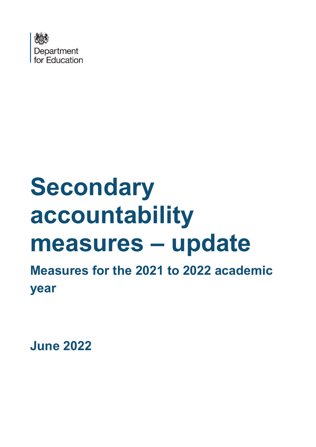

# **Secondary accountability measures – update**

**Measures for the 2021 to 2022 academic year**

**June 2022**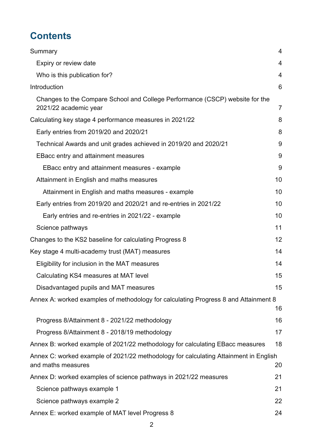# **Contents**

| Summary                                                                                                    | 4              |
|------------------------------------------------------------------------------------------------------------|----------------|
| Expiry or review date                                                                                      | 4              |
| Who is this publication for?                                                                               | 4              |
| Introduction                                                                                               | 6              |
| Changes to the Compare School and College Performance (CSCP) website for the<br>2021/22 academic year      | $\overline{7}$ |
| Calculating key stage 4 performance measures in 2021/22                                                    | 8              |
| Early entries from 2019/20 and 2020/21                                                                     | 8              |
| Technical Awards and unit grades achieved in 2019/20 and 2020/21                                           | 9              |
| <b>EBacc entry and attainment measures</b>                                                                 | 9              |
| EBacc entry and attainment measures - example                                                              | 9              |
| Attainment in English and maths measures                                                                   | 10             |
| Attainment in English and maths measures - example                                                         | 10             |
| Early entries from 2019/20 and 2020/21 and re-entries in 2021/22                                           | 10             |
| Early entries and re-entries in 2021/22 - example                                                          | 10             |
| Science pathways                                                                                           | 11             |
| Changes to the KS2 baseline for calculating Progress 8                                                     | 12             |
| Key stage 4 multi-academy trust (MAT) measures                                                             | 14             |
| Eligibility for inclusion in the MAT measures                                                              | 14             |
| Calculating KS4 measures at MAT level                                                                      | 15             |
| Disadvantaged pupils and MAT measures                                                                      | 15             |
| Annex A: worked examples of methodology for calculating Progress 8 and Attainment 8                        | 16             |
| Progress 8/Attainment 8 - 2021/22 methodology                                                              | 16             |
| Progress 8/Attainment 8 - 2018/19 methodology                                                              | 17             |
| Annex B: worked example of 2021/22 methodology for calculating EBacc measures                              | 18             |
| Annex C: worked example of 2021/22 methodology for calculating Attainment in English<br>and maths measures | 20             |
| Annex D: worked examples of science pathways in 2021/22 measures                                           | 21             |
| Science pathways example 1                                                                                 | 21             |
| Science pathways example 2                                                                                 | 22             |
| Annex E: worked example of MAT level Progress 8                                                            | 24             |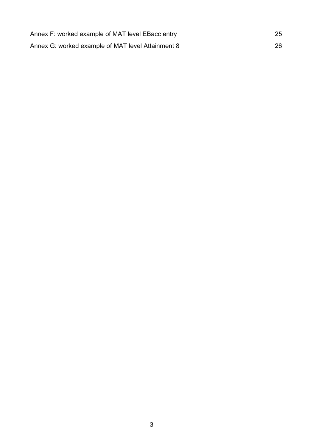| Annex F: worked example of MAT level EBacc entry  | 25 |
|---------------------------------------------------|----|
| Annex G: worked example of MAT level Attainment 8 | 26 |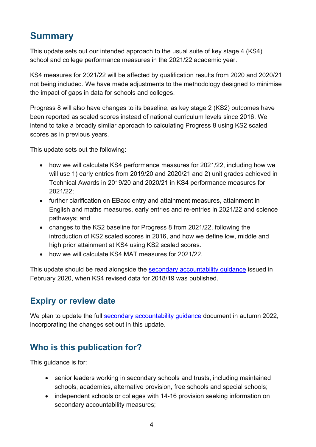# <span id="page-3-0"></span>**Summary**

This update sets out our intended approach to the usual suite of key stage 4 (KS4) school and college performance measures in the 2021/22 academic year.

KS4 measures for 2021/22 will be affected by qualification results from 2020 and 2020/21 not being included. We have made adjustments to the methodology designed to minimise the impact of gaps in data for schools and colleges.

Progress 8 will also have changes to its baseline, as key stage 2 (KS2) outcomes have been reported as scaled scores instead of national curriculum levels since 2016. We intend to take a broadly similar approach to calculating Progress 8 using KS2 scaled scores as in previous years.

This update sets out the following:

- how we will calculate KS4 performance measures for 2021/22, including how we will use 1) early entries from 2019/20 and 2020/21 and 2) unit grades achieved in Technical Awards in 2019/20 and 2020/21 in KS4 performance measures for 2021/22;
- further clarification on EBacc entry and attainment measures, attainment in English and maths measures, early entries and re-entries in 2021/22 and science pathways; and
- changes to the KS2 baseline for Progress 8 from 2021/22, following the introduction of KS2 scaled scores in 2016, and how we define low, middle and high prior attainment at KS4 using KS2 scaled scores.
- how we will calculate KS4 MAT measures for 2021/22.

This update should be read alongside the [secondary accountability guidance](https://assets.publishing.service.gov.uk/government/uploads/system/uploads/attachment_data/file/872997/Secondary_accountability_measures_guidance_February_2020_3.pdf) issued in February 2020, when KS4 revised data for 2018/19 was published.

## <span id="page-3-1"></span>**Expiry or review date**

We plan to update the full [secondary accountability guidance](https://assets.publishing.service.gov.uk/government/uploads/system/uploads/attachment_data/file/872997/Secondary_accountability_measures_guidance_February_2020_3.pdf) document in autumn 2022, incorporating the changes set out in this update.

# <span id="page-3-2"></span>**Who is this publication for?**

This guidance is for:

- senior leaders working in secondary schools and trusts, including maintained schools, academies, alternative provision, free schools and special schools;
- independent schools or colleges with 14-16 provision seeking information on secondary accountability measures;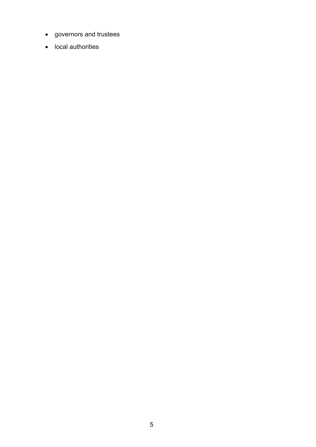- governors and trustees
- local authorities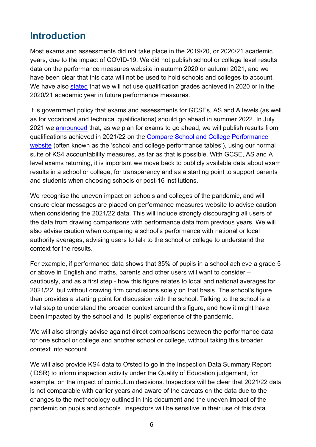# <span id="page-5-0"></span>**Introduction**

Most exams and assessments did not take place in the 2019/20, or 2020/21 academic years, due to the impact of COVID-19. We did not publish school or college level results data on the performance measures website in autumn 2020 or autumn 2021, and we have been clear that this data will not be used to hold schools and colleges to account. We have also [stated](https://www.gov.uk/government/publications/school-and-college-accountability-approach-2020-to-2022/school-and-college-accountability-2021-to-2022-academic-year) that we will not use qualification grades achieved in 2020 or in the 2020/21 academic year in future performance measures.

It is government policy that exams and assessments for GCSEs, AS and A levels (as well as for vocational and technical qualifications) should go ahead in summer 2022. In July 2021 we [announced](https://www.gov.uk/government/publications/coronavirus-covid-19-school-and-college-performance-measures) that, as we plan for exams to go ahead, we will publish results from qualifications achieved in 2021/22 on the [Compare School and College Performance](https://www.compare-school-performance.service.gov.uk/schools-by-type?step=default&table=schools®ion=all-england&for=secondary)  [website](https://www.compare-school-performance.service.gov.uk/schools-by-type?step=default&table=schools®ion=all-england&for=secondary) (often known as the 'school and college performance tables'), using our normal suite of KS4 accountability measures, as far as that is possible. With GCSE, AS and A level exams returning, it is important we move back to publicly available data about exam results in a school or college, for transparency and as a starting point to support parents and students when choosing schools or post-16 institutions.

We recognise the uneven impact on schools and colleges of the pandemic, and will ensure clear messages are placed on performance measures website to advise caution when considering the 2021/22 data. This will include strongly discouraging all users of the data from drawing comparisons with performance data from previous years. We will also advise caution when comparing a school's performance with national or local authority averages, advising users to talk to the school or college to understand the context for the results.

For example, if performance data shows that 35% of pupils in a school achieve a grade 5 or above in English and maths, parents and other users will want to consider – cautiously, and as a first step - how this figure relates to local and national averages for 2021/22, but without drawing firm conclusions solely on that basis. The school's figure then provides a starting point for discussion with the school. Talking to the school is a vital step to understand the broader context around this figure, and how it might have been impacted by the school and its pupils' experience of the pandemic.

We will also strongly advise against direct comparisons between the performance data for one school or college and another school or college, without taking this broader context into account.

We will also provide KS4 data to Ofsted to go in the Inspection Data Summary Report (IDSR) to inform inspection activity under the Quality of Education judgement, for example, on the impact of curriculum decisions. Inspectors will be clear that 2021/22 data is not comparable with earlier years and aware of the caveats on the data due to the changes to the methodology outlined in this document and the uneven impact of the pandemic on pupils and schools. Inspectors will be sensitive in their use of this data.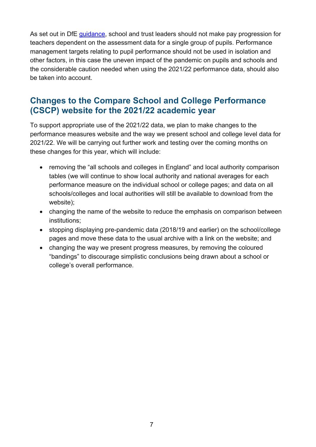As set out in DfE [guidance,](https://www.gov.uk/government/publications/reviewing-and-revising-school-teachers-pay) school and trust leaders should not make pay progression for teachers dependent on the assessment data for a single group of pupils. Performance management targets relating to pupil performance should not be used in isolation and other factors, in this case the uneven impact of the pandemic on pupils and schools and the considerable caution needed when using the 2021/22 performance data, should also be taken into account.

### <span id="page-6-0"></span>**Changes to the Compare School and College Performance (CSCP) website for the 2021/22 academic year**

To support appropriate use of the 2021/22 data, we plan to make changes to the performance measures website and the way we present school and college level data for 2021/22. We will be carrying out further work and testing over the coming months on these changes for this year, which will include:

- removing the "all schools and colleges in England" and local authority comparison tables (we will continue to show local authority and national averages for each performance measure on the individual school or college pages; and data on all schools/colleges and local authorities will still be available to download from the website);
- changing the name of the website to reduce the emphasis on comparison between institutions;
- stopping displaying pre-pandemic data (2018/19 and earlier) on the school/college pages and move these data to the usual archive with a link on the website; and
- changing the way we present progress measures, by removing the coloured "bandings" to discourage simplistic conclusions being drawn about a school or college's overall performance.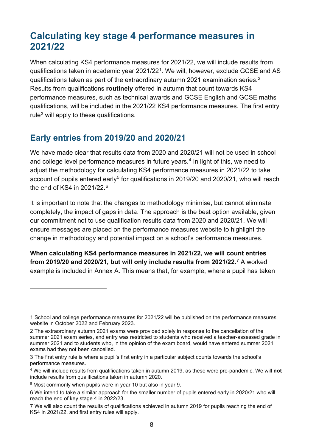# <span id="page-7-0"></span>**Calculating key stage 4 performance measures in 2021/22**

When calculating KS4 performance measures for 2021/22, we will include results from qualifications taken in academic year 2021/22[1](#page-7-2). We will, however, exclude GCSE and AS qualifications taken as part of the extraordinary autumn 2021 examination series. $^2$ Results from qualifications **routinely** offered in autumn that count towards KS4 performance measures, such as technical awards and GCSE English and GCSE maths qualifications, will be included in the 2021/22 KS4 performance measures. The first entry rule $3$  will apply to these qualifications.

## <span id="page-7-1"></span>**Early entries from 2019/20 and 2020/21**

We have made clear that results data from 2020 and 2020/21 will not be used in school and college level performance measures in future years. $4$  In light of this, we need to adjust the methodology for calculating KS4 performance measures in 2021/22 to take account of pupils entered early<sup>[5](#page-7-6)</sup> for qualifications in 2019/20 and 2020/21, who will reach the end of KS4 in 2021/22.[6](#page-7-7) 

It is important to note that the changes to methodology minimise, but cannot eliminate completely, the impact of gaps in data. The approach is the best option available, given our commitment not to use qualification results data from 2020 and 2020/21. We will ensure messages are placed on the performance measures website to highlight the change in methodology and potential impact on a school's performance measures.

**When calculating KS4 performance measures in 2021/22, we will count entries from 2019/20 and 2020/21, but will only include results from 2021/22.**[7](#page-7-8) A worked example is included in Annex A. This means that, for example, where a pupil has taken

<span id="page-7-2"></span><sup>1</sup> School and college performance measures for 2021/22 will be published on the performance measures website in October 2022 and February 2023.

<span id="page-7-3"></span><sup>2</sup> The extraordinary autumn 2021 exams were provided solely in response to the cancellation of the summer 2021 exam series, and entry was restricted to students who received a teacher-assessed grade in summer 2021 and to students who, in the opinion of the exam board, would have entered summer 2021 exams had they not been cancelled.

<span id="page-7-4"></span><sup>3</sup> The [first entry rule](https://www.gov.uk/government/news/changes-to-early-entry-at-gcse) is where a pupil's first entry in a particular subject counts towards the school's performance measures.

<span id="page-7-5"></span><sup>4</sup> We will include results from qualifications taken in autumn 2019, as these were pre-pandemic. We will **not** include results from qualifications taken in autumn 2020.

<span id="page-7-6"></span><sup>5</sup> Most commonly when pupils were in year 10 but also in year 9.

<span id="page-7-7"></span><sup>6</sup> We intend to take a similar approach for the smaller number of pupils entered early in 2020/21 who will reach the end of key stage 4 in 2022/23.

<span id="page-7-8"></span><sup>7</sup> We will also count the results of qualifications achieved in autumn 2019 for pupils reaching the end of KS4 in 2021/22, and first entry rules will apply.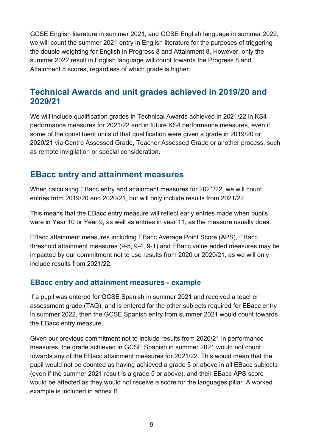GCSE English literature in summer 2021, and GCSE English language in summer 2022, we will count the summer 2021 entry in English literature for the purposes of triggering the double weighting for English in Progress 8 and Attainment 8. However, only the summer 2022 result in English language will count towards the Progress 8 and Attainment 8 scores, regardless of which grade is higher.

## <span id="page-8-0"></span>**Technical Awards and unit grades achieved in 2019/20 and 2020/21**

We will include qualification grades in Technical Awards achieved in 2021/22 in KS4 performance measures for 2021/22 and in future KS4 performance measures, even if some of the constituent units of that qualification were given a grade in 2019/20 or 2020/21 via Centre Assessed Grade, Teacher Assessed Grade or another process, such as remote invigilation or special consideration.

#### <span id="page-8-1"></span>**EBacc entry and attainment measures**

When calculating EBacc entry and attainment measures for 2021/22, we will count entries from 2019/20 and 2020/21, but will only include results from 2021/22.

This means that the EBacc entry measure will reflect early entries made when pupils were in Year 10 or Year 9, as well as entries in year 11, as the measure usually does.

EBacc attainment measures including EBacc Average Point Score (APS), EBacc threshold attainment measures (9-5, 9-4, 9-1) and EBacc value added measures may be impacted by our commitment not to use results from 2020 or 2020/21, as we will only include results from 2021/22.

#### <span id="page-8-2"></span>**EBacc entry and attainment measures - example**

If a pupil was entered for GCSE Spanish in summer 2021 and received a teacher assessment grade (TAG), and is entered for the other subjects required for EBacc entry in summer 2022, then the GCSE Spanish entry from summer 2021 would count towards the EBacc entry measure.

Given our previous commitment not to include results from 2020/21 in performance measures, the grade achieved in GCSE Spanish in summer 2021 would not count towards any of the EBacc attainment measures for 2021/22. This would mean that the pupil would not be counted as having achieved a grade 5 or above in all EBacc subjects (even if the summer 2021 result is a grade 5 or above), and their EBacc APS score would be affected as they would not receive a score for the languages pillar. A worked example is included in annex B.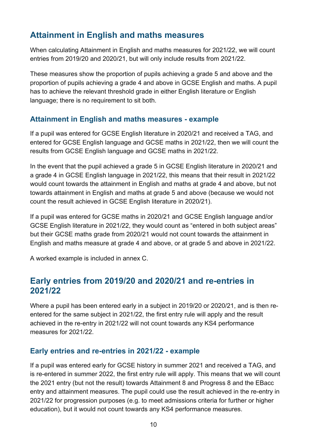## <span id="page-9-0"></span>**Attainment in English and maths measures**

When calculating Attainment in English and maths measures for 2021/22, we will count entries from 2019/20 and 2020/21, but will only include results from 2021/22.

These measures show the proportion of pupils achieving a grade 5 and above and the proportion of pupils achieving a grade 4 and above in GCSE English and maths. A pupil has to achieve the relevant threshold grade in either English literature or English language; there is no requirement to sit both.

#### <span id="page-9-1"></span>**Attainment in English and maths measures - example**

If a pupil was entered for GCSE English literature in 2020/21 and received a TAG, and entered for GCSE English language and GCSE maths in 2021/22, then we will count the results from GCSE English language and GCSE maths in 2021/22.

In the event that the pupil achieved a grade 5 in GCSE English literature in 2020/21 and a grade 4 in GCSE English language in 2021/22, this means that their result in 2021/22 would count towards the attainment in English and maths at grade 4 and above, but not towards attainment in English and maths at grade 5 and above (because we would not count the result achieved in GCSE English literature in 2020/21).

If a pupil was entered for GCSE maths in 2020/21 and GCSE English language and/or GCSE English literature in 2021/22, they would count as "entered in both subject areas" but their GCSE maths grade from 2020/21 would not count towards the attainment in English and maths measure at grade 4 and above, or at grade 5 and above in 2021/22.

A worked example is included in annex C.

#### <span id="page-9-2"></span>**Early entries from 2019/20 and 2020/21 and re-entries in 2021/22**

Where a pupil has been entered early in a subject in 2019/20 or 2020/21, and is then reentered for the same subject in 2021/22, the first entry rule will apply and the result achieved in the re-entry in 2021/22 will not count towards any KS4 performance measures for 2021/22.

#### <span id="page-9-3"></span>**Early entries and re-entries in 2021/22 - example**

If a pupil was entered early for GCSE history in summer 2021 and received a TAG, and is re-entered in summer 2022, the first entry rule will apply. This means that we will count the 2021 entry (but not the result) towards Attainment 8 and Progress 8 and the EBacc entry and attainment measures. The pupil could use the result achieved in the re-entry in 2021/22 for progression purposes (e.g. to meet admissions criteria for further or higher education), but it would not count towards any KS4 performance measures.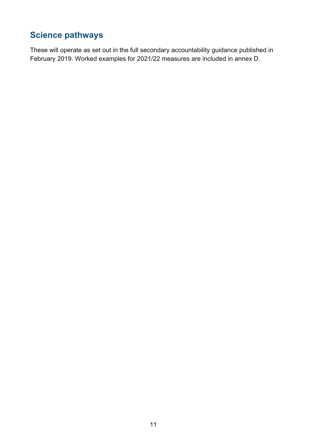# <span id="page-10-0"></span>**Science pathways**

These will operate as set out in the full secondary accountability guidance published in February 2019. Worked examples for 2021/22 measures are included in annex D.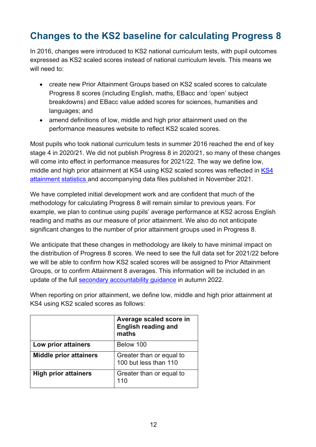# <span id="page-11-0"></span>**Changes to the KS2 baseline for calculating Progress 8**

In 2016, changes were introduced to KS2 national curriculum tests, with pupil outcomes expressed as KS2 scaled scores instead of national curriculum levels. This means we will need to:

- create new Prior Attainment Groups based on KS2 scaled scores to calculate Progress 8 scores (including English, maths, EBacc and 'open' subject breakdowns) and EBacc value added scores for sciences, humanities and languages; and
- amend definitions of low, middle and high prior attainment used on the performance measures website to reflect KS2 scaled scores.

Most pupils who took national curriculum tests in summer 2016 reached the end of key stage 4 in 2020/21. We did not publish Progress 8 in 2020/21, so many of these changes will come into effect in performance measures for 2021/22. The way we define low, middle and high prior attainment at [KS4](https://www.gov.uk/government/statistics/key-stage-4-performance-2021) using KS2 scaled scores was reflected in KS4 [attainment statistics](https://www.gov.uk/government/statistics/key-stage-4-performance-2021) and accompanying data files published in November 2021.

We have completed initial development work and are confident that much of the methodology for calculating Progress 8 will remain similar to previous years. For example, we plan to continue using pupils' average performance at KS2 across English reading and maths as our measure of prior attainment. We also do not anticipate significant changes to the number of prior attainment groups used in Progress 8.

We anticipate that these changes in methodology are likely to have minimal impact on the distribution of Progress 8 scores. We need to see the full data set for 2021/22 before we will be able to confirm how KS2 scaled scores will be assigned to Prior Attainment Groups, or to confirm Attainment 8 averages. This information will be included in an update of the full [secondary accountability guidance](https://assets.publishing.service.gov.uk/government/uploads/system/uploads/attachment_data/file/872997/Secondary_accountability_measures_guidance_February_2020_3.pdf) in autumn 2022.

When reporting on prior attainment, we define low, middle and high prior attainment at KS4 using KS2 scaled scores as follows:

|                               | Average scaled score in<br>English reading and<br>maths |
|-------------------------------|---------------------------------------------------------|
| Low prior attainers           | Below 100                                               |
| <b>Middle prior attainers</b> | Greater than or equal to<br>100 but less than 110       |
| <b>High prior attainers</b>   | Greater than or equal to<br>110                         |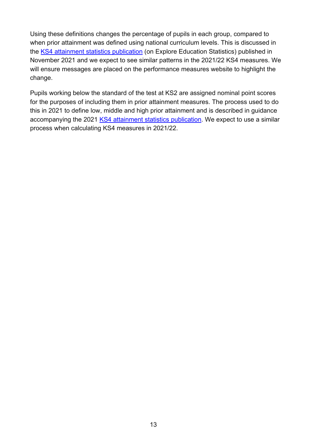Using these definitions changes the percentage of pupils in each group, compared to when prior attainment was defined using national curriculum levels. This is discussed in the [KS4 attainment statistics publication](https://explore-education-statistics.service.gov.uk/find-statistics/key-stage-4-performance-revised/2020-21) (on Explore Education Statistics) published in November 2021 and we expect to see similar patterns in the 2021/22 KS4 measures. We will ensure messages are placed on the performance measures website to highlight the change.

Pupils working below the standard of the test at KS2 are assigned nominal point scores for the purposes of including them in prior attainment measures. The process used to do this in 2021 to define low, middle and high prior attainment and is described in guidance accompanying the 2021 [KS4 attainment statistics publication.](https://explore-education-statistics.service.gov.uk/find-statistics/key-stage-4-performance-revised/2020-21) We expect to use a similar process when calculating KS4 measures in 2021/22.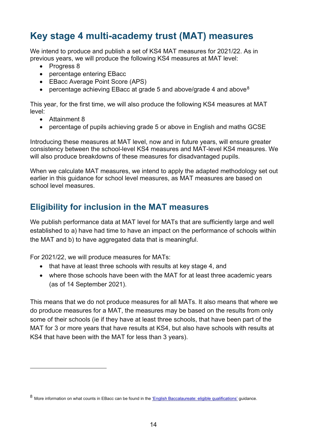# <span id="page-13-0"></span>**Key stage 4 multi-academy trust (MAT) measures**

We intend to produce and publish a set of KS4 MAT measures for 2021/22. As in previous years, we will produce the following KS4 measures at MAT level:

- Progress 8
- percentage entering EBacc
- EBacc Average Point Score (APS)
- percentage achieving EBacc at grade 5 and above/grade 4 and above $8$

This year, for the first time, we will also produce the following KS4 measures at MAT level:

- Attainment 8
- percentage of pupils achieving grade 5 or above in English and maths GCSE

Introducing these measures at MAT level, now and in future years, will ensure greater consistency between the school-level KS4 measures and MAT-level KS4 measures. We will also produce breakdowns of these measures for disadvantaged pupils.

When we calculate MAT measures, we intend to apply the adapted methodology set out earlier in this guidance for school level measures, as MAT measures are based on school level measures.

## <span id="page-13-1"></span>**Eligibility for inclusion in the MAT measures**

We publish performance data at MAT level for MATs that are sufficiently large and well established to a) have had time to have an impact on the performance of schools within the MAT and b) to have aggregated data that is meaningful.

For 2021/22, we will produce measures for MATs:

- that have at least three schools with results at key stage 4, and
- where those schools have been with the MAT for at least three academic years (as of 14 September 2021).

This means that we do not produce measures for all MATs. It also means that where we do produce measures for a MAT, the measures may be based on the results from only some of their schools (ie if they have at least three schools, that have been part of the MAT for 3 or more years that have results at KS4, but also have schools with results at KS4 that have been with the MAT for less than 3 years).

<span id="page-13-2"></span><sup>8</sup> More information on what counts in EBacc can be found in the ['English Baccalaureate: eligible qualifications'](https://view.officeapps.live.com/op/view.aspx?src=https%3A%2F%2Fassets.publishing.service.gov.uk%2Fgovernment%2Fuploads%2Fsystem%2Fuploads%2Fattachment_data%2Ffile%2F1008429%2FEnglish_Baccalaureate_list_of_qualifications.ods&wdOrigin=BROWSELINK) guidance.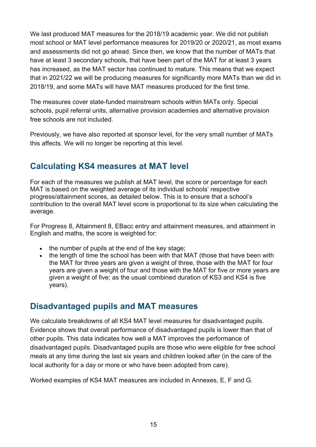We last produced MAT measures for the 2018/19 academic year. We did not publish most school or MAT level performance measures for 2019/20 or 2020/21, as most exams and assessments did not go ahead. Since then, we know that the number of MATs that have at least 3 secondary schools, that have been part of the MAT for at least 3 years has increased, as the MAT sector has continued to mature. This means that we expect that in 2021/22 we will be producing measures for significantly more MATs than we did in 2018/19, and some MATs will have MAT measures produced for the first time.

The measures cover state-funded mainstream schools within MATs only. Special schools, pupil referral units, alternative provision academies and alternative provision free schools are not included.

Previously, we have also reported at sponsor level, for the very small number of MATs this affects. We will no longer be reporting at this level.

## <span id="page-14-0"></span>**Calculating KS4 measures at MAT level**

For each of the measures we publish at MAT level, the score or percentage for each MAT is based on the weighted average of its individual schools' respective progress/attainment scores, as detailed below. This is to ensure that a school's contribution to the overall MAT level score is proportional to its size when calculating the average.

For Progress 8, Attainment 8, EBacc entry and attainment measures, and attainment in English and maths, the score is weighted for:

- the number of pupils at the end of the key stage;
- the length of time the school has been with that MAT (those that have been with the MAT for three years are given a weight of three, those with the MAT for four years are given a weight of four and those with the MAT for five or more years are given a weight of five; as the usual combined duration of KS3 and KS4 is five years).

#### <span id="page-14-1"></span>**Disadvantaged pupils and MAT measures**

We calculate breakdowns of all KS4 MAT level measures for disadvantaged pupils. Evidence shows that overall performance of disadvantaged pupils is lower than that of other pupils. This data indicates how well a MAT improves the performance of disadvantaged pupils. Disadvantaged pupils are those who were eligible for free school meals at any time during the last six years and children looked after (in the care of the local authority for a day or more or who have been adopted from care).

Worked examples of KS4 MAT measures are included in Annexes, E, F and G.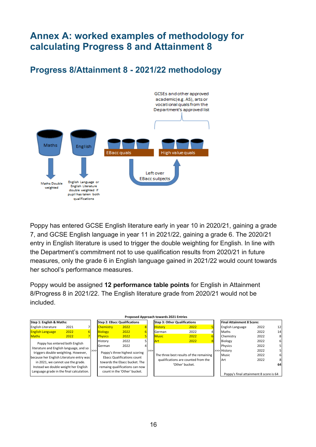# <span id="page-15-0"></span>**Annex A: worked examples of methodology for calculating Progress 8 and Attainment 8**

<span id="page-15-1"></span>**Progress 8/Attainment 8 - 2021/22 methodology**



Poppy has entered GCSE English literature early in year 10 in 2020/21, gaining a grade 7, and GCSE English language in year 11 in 2021/22, gaining a grade 6. The 2020/21 entry in English literature is used to trigger the double weighting for English. In line with the Department's commitment not to use qualification results from 2020/21 in future measures, only the grade 6 in English language gained in 2021/22 would count towards her school's performance measures.

Poppy would be assigned **12 performance table points** for English in Attainment 8/Progress 8 in 2021/22. The English literature grade from 2020/21 would not be included.

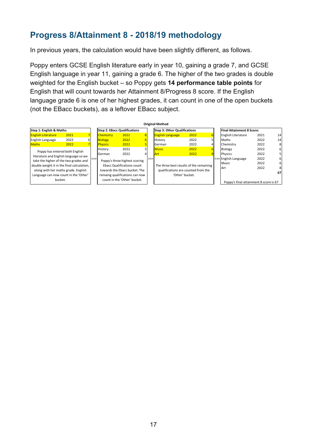## <span id="page-16-0"></span>**Progress 8/Attainment 8 - 2018/19 methodology**

In previous years, the calculation would have been slightly different, as follows.

Poppy enters GCSE English literature early in year 10, gaining a grade 7, and GCSE English language in year 11, gaining a grade 6. The higher of the two grades is double weighted for the English bucket – so Poppy gets **14 performance table points** for English that will count towards her Attainment 8/Progress 8 score. If the English language grade 6 is one of her highest grades, it can count in one of the open buckets (not the EBacc buckets), as a leftover EBacc subject.

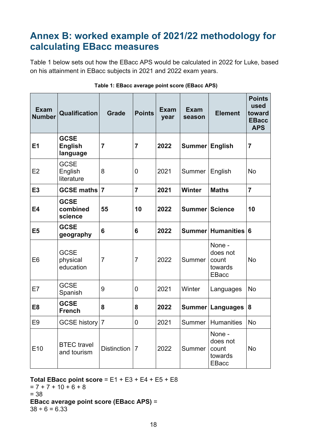# <span id="page-17-0"></span>**Annex B: worked example of 2021/22 methodology for calculating EBacc measures**

Table 1 below sets out how the EBacc APS would be calculated in 2022 for Luke, based on his attainment in EBacc subjects in 2021 and 2022 exam years.

| <b>Exam</b><br><b>Number</b> | Qualification                             | <b>Grade</b>       | <b>Points</b>  | <b>Exam</b><br>year | <b>Exam</b><br>season | <b>Element</b>                                         | <b>Points</b><br>used<br>toward<br><b>EBacc</b><br><b>APS</b> |
|------------------------------|-------------------------------------------|--------------------|----------------|---------------------|-----------------------|--------------------------------------------------------|---------------------------------------------------------------|
| E1                           | <b>GCSE</b><br><b>English</b><br>language | $\overline{7}$     | $\overline{7}$ | 2022                | Summer                | <b>English</b>                                         | $\overline{7}$                                                |
| E2                           | <b>GCSE</b><br>English<br>literature      | 8                  | $\overline{0}$ | 2021                | Summer                | English                                                | <b>No</b>                                                     |
| <b>E3</b>                    | <b>GCSE maths</b>                         | $\overline{7}$     | $\overline{7}$ | 2021                | <b>Winter</b>         | <b>Maths</b>                                           | $\overline{7}$                                                |
| <b>E4</b>                    | <b>GCSE</b><br>combined<br>science        | 55                 | 10             | 2022                | <b>Summer Science</b> |                                                        | 10                                                            |
| E <sub>5</sub>               | <b>GCSE</b><br>geography                  | 6                  | 6              | 2022                |                       | Summer Humanities                                      | 6                                                             |
| E <sub>6</sub>               | <b>GCSE</b><br>physical<br>education      | $\overline{7}$     | $\overline{7}$ | 2022                | Summer                | None -<br>does not<br>count<br>towards<br><b>EBacc</b> | <b>No</b>                                                     |
| E7                           | <b>GCSE</b><br>Spanish                    | 9                  | $\overline{0}$ | 2021                | Winter                | Languages                                              | <b>No</b>                                                     |
| E <sub>8</sub>               | <b>GCSE</b><br><b>French</b>              | 8                  | 8              | 2022                |                       | Summer Languages                                       | 8                                                             |
| E <sub>9</sub>               | <b>GCSE history</b>                       | $\overline{7}$     | $\mathbf 0$    | 2021                | Summer                | <b>Humanities</b>                                      | <b>No</b>                                                     |
| E <sub>10</sub>              | <b>BTEC</b> travel<br>and tourism         | <b>Distinction</b> | $\overline{7}$ | 2022                | Summer                | None -<br>does not<br>count<br>towards<br><b>EBacc</b> | <b>No</b>                                                     |

#### **Table 1: EBacc average point score (EBacc APS)**

#### **Total EBacc point score** = E1 + E3 + E4 + E5 + E8

 $= 7 + 7 + 10 + 6 + 8$ = 38 **EBacc average point score (EBacc APS)** =  $38 \div 6 = 6.33$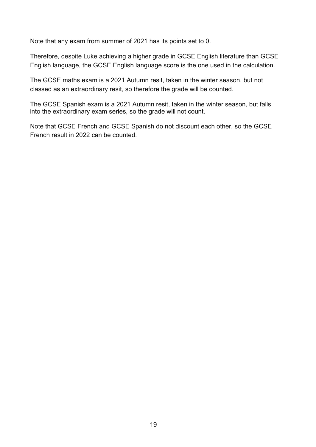Note that any exam from summer of 2021 has its points set to 0.

Therefore, despite Luke achieving a higher grade in GCSE English literature than GCSE English language, the GCSE English language score is the one used in the calculation.

The GCSE maths exam is a 2021 Autumn resit, taken in the winter season, but not classed as an extraordinary resit, so therefore the grade will be counted.

The GCSE Spanish exam is a 2021 Autumn resit, taken in the winter season, but falls into the extraordinary exam series, so the grade will not count.

Note that GCSE French and GCSE Spanish do not discount each other, so the GCSE French result in 2022 can be counted.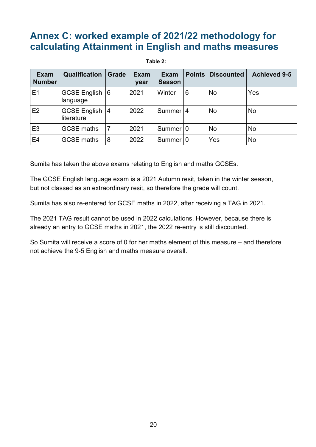# <span id="page-19-0"></span>**Annex C: worked example of 2021/22 methodology for calculating Attainment in English and maths measures**

#### **Table 2:**

| <b>Exam</b><br><b>Number</b> | <b>Qualification</b>           | <b>Grade</b> | <b>Exam</b><br>year | <b>Exam</b><br><b>Season</b> |   | <b>Points Discounted</b> | <b>Achieved 9-5</b> |
|------------------------------|--------------------------------|--------------|---------------------|------------------------------|---|--------------------------|---------------------|
| E1                           | GCSE English 6<br>language     |              | 2021                | Winter                       | 6 | <b>No</b>                | Yes                 |
| E2                           | GCSE English   4<br>literature |              | 2022                | Summer 14                    |   | <b>No</b>                | <b>No</b>           |
| E <sub>3</sub>               | <b>GCSE maths</b>              | 7            | 2021                | Summer 10                    |   | <b>No</b>                | <b>No</b>           |
| E <sub>4</sub>               | <b>GCSE maths</b>              | 8            | 2022                | Summer 10                    |   | Yes                      | <b>No</b>           |

Sumita has taken the above exams relating to English and maths GCSEs.

The GCSE English language exam is a 2021 Autumn resit, taken in the winter season, but not classed as an extraordinary resit, so therefore the grade will count.

Sumita has also re-entered for GCSE maths in 2022, after receiving a TAG in 2021.

The 2021 TAG result cannot be used in 2022 calculations. However, because there is already an entry to GCSE maths in 2021, the 2022 re-entry is still discounted.

So Sumita will receive a score of 0 for her maths element of this measure – and therefore not achieve the 9-5 English and maths measure overall.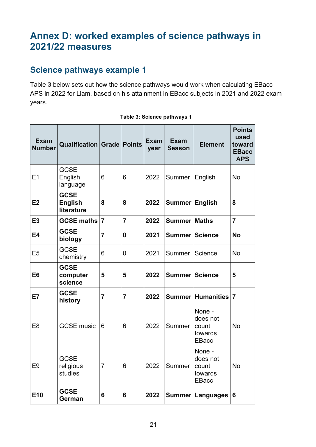# <span id="page-20-0"></span>**Annex D: worked examples of science pathways in 2021/22 measures**

## <span id="page-20-1"></span>**Science pathways example 1**

Table 3 below sets out how the science pathways would work when calculating EBacc APS in 2022 for Liam, based on his attainment in EBacc subjects in 2021 and 2022 exam years.

| <b>Exam</b><br><b>Number</b> | <b>Qualification Grade Points</b>           |                |                | <b>Exam</b><br>year | <b>Exam</b><br><b>Season</b> | <b>Element</b>                                         | <b>Points</b><br>used<br>toward<br><b>EBacc</b><br><b>APS</b> |
|------------------------------|---------------------------------------------|----------------|----------------|---------------------|------------------------------|--------------------------------------------------------|---------------------------------------------------------------|
| E1                           | <b>GCSE</b><br>English<br>language          | 6              | 6              | 2022                | Summer                       | English                                                | <b>No</b>                                                     |
| E <sub>2</sub>               | <b>GCSE</b><br><b>English</b><br>literature | 8              | 8              | 2022                | Summer English               |                                                        | 8                                                             |
| E <sub>3</sub>               | <b>GCSE maths</b>                           | $\overline{7}$ | $\overline{7}$ | 2022                | <b>Summer Maths</b>          |                                                        | $\overline{7}$                                                |
| <b>E4</b>                    | <b>GCSE</b><br>biology                      | $\overline{7}$ | 0              | 2021                | Summer Science               |                                                        | <b>No</b>                                                     |
| E <sub>5</sub>               | <b>GCSE</b><br>chemistry                    | 6              | $\overline{0}$ | 2021                | Summer                       | Science                                                | <b>No</b>                                                     |
| E <sub>6</sub>               | <b>GCSE</b><br>computer<br>science          | 5              | 5              | 2022                | <b>Summer Science</b>        |                                                        | 5                                                             |
| E7                           | <b>GCSE</b><br>history                      | $\overline{7}$ | $\overline{7}$ | 2022                |                              | Summer Humanities                                      | $\overline{7}$                                                |
| E <sub>8</sub>               | <b>GCSE music</b>                           | 6              | 6              | 2022                | Summer                       | None -<br>does not<br>count<br>towards<br><b>EBacc</b> | <b>No</b>                                                     |
| E9                           | <b>GCSE</b><br>religious<br>studies         | $\overline{7}$ | 6              | 2022                | Summer                       | None -<br>does not<br>count<br>towards<br><b>EBacc</b> | No                                                            |
| E10                          | <b>GCSE</b><br>German                       | 6              | 6              | 2022                |                              | Summer   Languages   6                                 |                                                               |

#### **Table 3: Science pathways 1**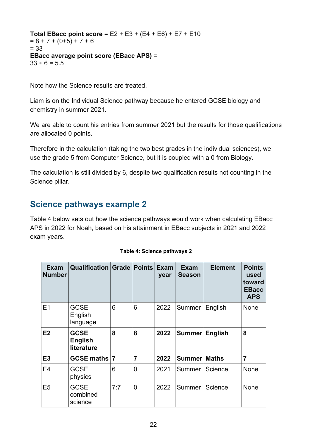**Total EBacc point score** = E2 + E3 + (E4 + E6) + E7 + E10  $= 8 + 7 + (0 + 5) + 7 + 6$ = 33 **EBacc average point score (EBacc APS)** =  $33 \div 6 = 5.5$ 

Note how the Science results are treated.

Liam is on the Individual Science pathway because he entered GCSE biology and chemistry in summer 2021.

We are able to count his entries from summer 2021 but the results for those qualifications are allocated 0 points.

Therefore in the calculation (taking the two best grades in the individual sciences), we use the grade 5 from Computer Science, but it is coupled with a 0 from Biology.

The calculation is still divided by 6, despite two qualification results not counting in the Science pillar.

## <span id="page-21-0"></span>**Science pathways example 2**

Table 4 below sets out how the science pathways would work when calculating EBacc APS in 2022 for Noah, based on his attainment in EBacc subjects in 2021 and 2022 exam years.

| Exam<br><b>Number</b> | <b>Qualification Grade</b>                  |     | <b>Points</b>  | <b>Exam</b><br>year | <b>Exam</b><br><b>Season</b> | <b>Element</b> | <b>Points</b><br>used<br>toward<br><b>EBacc</b><br><b>APS</b> |
|-----------------------|---------------------------------------------|-----|----------------|---------------------|------------------------------|----------------|---------------------------------------------------------------|
| E1                    | <b>GCSE</b><br>English<br>language          | 6   | 6              | 2022                | Summer                       | English        | None                                                          |
| E2                    | <b>GCSE</b><br><b>English</b><br>literature | 8   | 8              | 2022                | Summer                       | <b>English</b> | 8                                                             |
| E <sub>3</sub>        | GCSE maths 7                                |     | 7              | 2022                | Summer Maths                 |                | $\overline{7}$                                                |
| E <sub>4</sub>        | <b>GCSE</b><br>physics                      | 6   | 0              | 2021                | Summer                       | Science        | None                                                          |
| E <sub>5</sub>        | <b>GCSE</b><br>combined<br>science          | 7:7 | $\overline{0}$ | 2022                | Summer                       | Science        | <b>None</b>                                                   |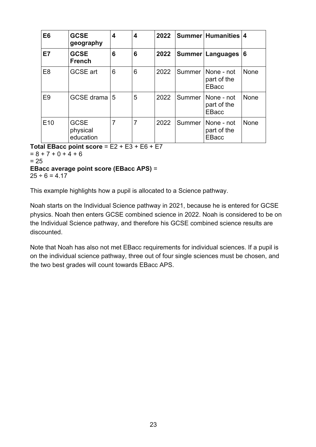| E <sub>6</sub>  | <b>GCSE</b><br>geography             | 4 | 4              | 2022 |        | Summer Humanities 4                       |             |
|-----------------|--------------------------------------|---|----------------|------|--------|-------------------------------------------|-------------|
| E7              | <b>GCSE</b><br><b>French</b>         | 6 | 6              | 2022 |        | Summer   Languages                        | 16          |
| E <sub>8</sub>  | <b>GCSE</b> art                      | 6 | 6              | 2022 | Summer | None - not<br>part of the<br>EBacc        | <b>None</b> |
| E <sub>9</sub>  | GCSE drama 5                         |   | 5              | 2022 | Summer | None - not<br>part of the<br>EBacc        | None        |
| E <sub>10</sub> | <b>GCSE</b><br>physical<br>education | 7 | $\overline{7}$ | 2022 | Summer | None - not<br>part of the<br><b>EBacc</b> | <b>None</b> |

**Total EBacc point score** = E2 + E3 + E6 + E7

 $= 8 + 7 + 0 + 4 + 6$  $= 25$ **EBacc average point score (EBacc APS)** =

 $25 \div 6 = 4.17$ 

This example highlights how a pupil is allocated to a Science pathway.

Noah starts on the Individual Science pathway in 2021, because he is entered for GCSE physics. Noah then enters GCSE combined science in 2022. Noah is considered to be on the Individual Science pathway, and therefore his GCSE combined science results are discounted.

Note that Noah has also not met EBacc requirements for individual sciences. If a pupil is on the individual science pathway, three out of four single sciences must be chosen, and the two best grades will count towards EBacc APS.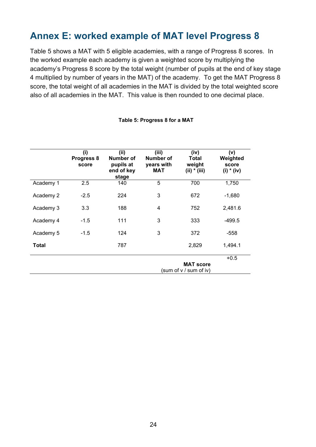# <span id="page-23-0"></span>**Annex E: worked example of MAT level Progress 8**

Table 5 shows a MAT with 5 eligible academies, with a range of Progress 8 scores. In the worked example each academy is given a weighted score by multiplying the academy's Progress 8 score by the total weight (number of pupils at the end of key stage 4 multiplied by number of years in the MAT) of the academy. To get the MAT Progress 8 score, the total weight of all academies in the MAT is divided by the total weighted score also of all academies in the MAT. This value is then rounded to one decimal place.

|           | (i)<br>Progress 8<br>score | (ii)<br>Number of<br>pupils at<br>end of key<br>stage | (iii)<br><b>Number of</b><br>years with<br><b>MAT</b> | (iv)<br>Total<br>weight<br>$(ii) * (iii)$  | (v)<br>Weighted<br>score<br>$(i) * (iv)$ |
|-----------|----------------------------|-------------------------------------------------------|-------------------------------------------------------|--------------------------------------------|------------------------------------------|
| Academy 1 | 2.5                        | 140                                                   | 5                                                     | 700                                        | 1,750                                    |
| Academy 2 | $-2.5$                     | 224                                                   | 3                                                     | 672                                        | $-1,680$                                 |
| Academy 3 | 3.3                        | 188                                                   | $\overline{4}$                                        | 752                                        | 2,481.6                                  |
| Academy 4 | $-1.5$                     | 111                                                   | 3                                                     | 333                                        | $-499.5$                                 |
| Academy 5 | $-1.5$                     | 124                                                   | 3                                                     | 372                                        | $-558$                                   |
| Total     |                            | 787                                                   |                                                       | 2,829                                      | 1,494.1                                  |
|           |                            |                                                       |                                                       | <b>MAT score</b><br>(sum of v / sum of iv) | $+0.5$                                   |

#### **Table 5: Progress 8 for a MAT**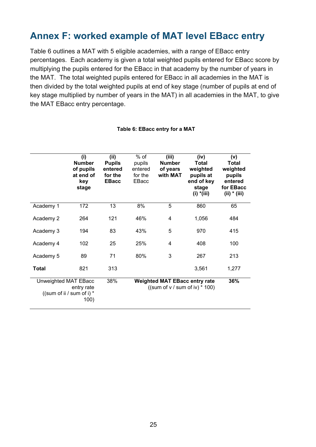# <span id="page-24-0"></span>**Annex F: worked example of MAT level EBacc entry**

Table 6 outlines a MAT with 5 eligible academies, with a range of EBacc entry percentages. Each academy is given a total weighted pupils entered for EBacc score by multiplying the pupils entered for the EBacc in that academy by the number of years in the MAT. The total weighted pupils entered for EBacc in all academies in the MAT is then divided by the total weighted pupils at end of key stage (number of pupils at end of key stage multiplied by number of years in the MAT) in all academies in the MAT, to give the MAT EBacc entry percentage.

|                                                                                | (i)<br><b>Number</b><br>of pupils<br>at end of<br>key<br>stage | (ii)<br><b>Pupils</b><br>entered<br>for the<br><b>EBacc</b> | % of<br>pupils<br>entered<br>for the<br>EBacc                              | (iii)<br><b>Number</b><br>of years<br>with MAT | (iv)<br>Total<br>weighted<br>pupils at<br>end of key<br>stage<br>$(i) * (iii)$ | (v)<br>Total<br>weighted<br>pupils<br>entered<br>for EBacc<br>$(ii) * (iii)$ |
|--------------------------------------------------------------------------------|----------------------------------------------------------------|-------------------------------------------------------------|----------------------------------------------------------------------------|------------------------------------------------|--------------------------------------------------------------------------------|------------------------------------------------------------------------------|
| Academy 1                                                                      | 172                                                            | 13                                                          | 8%                                                                         | 5                                              | 860                                                                            | 65                                                                           |
| Academy 2                                                                      | 264                                                            | 121                                                         | 46%                                                                        | 4                                              | 1,056                                                                          | 484                                                                          |
| Academy 3                                                                      | 194                                                            | 83                                                          | 43%                                                                        | 5                                              | 970                                                                            | 415                                                                          |
| Academy 4                                                                      | 102                                                            | 25                                                          | 25%                                                                        | 4                                              | 408                                                                            | 100                                                                          |
| Academy 5                                                                      | 89                                                             | 71                                                          | 80%                                                                        | 3                                              | 267                                                                            | 213                                                                          |
| Total                                                                          | 821                                                            | 313                                                         |                                                                            |                                                | 3,561                                                                          | 1,277                                                                        |
| 38%<br>Unweighted MAT EBacc<br>entry rate<br>((sum of ii / sum of i) *<br>100) |                                                                |                                                             | <b>Weighted MAT EBacc entry rate</b><br>((sum of $v / sum$ of iv) $*$ 100) | 36%                                            |                                                                                |                                                                              |

#### **Table 6: EBacc entry for a MAT**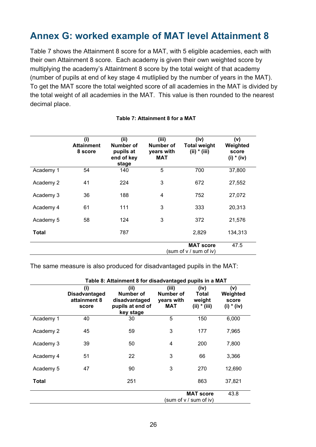# <span id="page-25-0"></span>**Annex G: worked example of MAT level Attainment 8**

Table 7 shows the Attainment 8 score for a MAT, with 5 eligible academies, each with their own Attainment 8 score. Each academy is given their own weighted score by multiplying the academy's Attaintment 8 score by the total weight of that academy (number of pupils at end of key stage 4 mutliplied by the number of years in the MAT). To get the MAT score the total weighted score of all academies in the MAT is divided by the total weight of all academies in the MAT. This value is then rounded to the nearest decimal place.

|              | (i)<br><b>Attainment</b><br>8 score | (ii)<br>Number of<br>pupils at<br>end of key<br>stage | (iii)<br><b>Number of</b><br>years with<br><b>MAT</b> | (iv)<br><b>Total weight</b><br>$(ii) * (iii)$ | (v)<br>Weighted<br>score<br>$(i) * (iv)$ |
|--------------|-------------------------------------|-------------------------------------------------------|-------------------------------------------------------|-----------------------------------------------|------------------------------------------|
| Academy 1    | 54                                  | 140                                                   | 5                                                     | 700                                           | 37,800                                   |
| Academy 2    | 41                                  | 224                                                   | 3                                                     | 672                                           | 27,552                                   |
| Academy 3    | 36                                  | 188                                                   | $\overline{4}$                                        | 752                                           | 27,072                                   |
| Academy 4    | 61                                  | 111                                                   | 3                                                     | 333                                           | 20,313                                   |
| Academy 5    | 58                                  | 124                                                   | 3                                                     | 372                                           | 21,576                                   |
| <b>Total</b> |                                     | 787                                                   |                                                       | 2,829                                         | 134,313                                  |
|              |                                     |                                                       |                                                       | <b>MAT score</b><br>(sum of v / sum of iv)    | 47.5                                     |

#### **Table 7: Attainment 8 for a MAT**

The same measure is also produced for disadvantaged pupils in the MAT:

|           | Table 8: Attainment 8 for disadvantaged pupils in a MAT |                                                                     |                                                    |                                           |                                          |
|-----------|---------------------------------------------------------|---------------------------------------------------------------------|----------------------------------------------------|-------------------------------------------|------------------------------------------|
|           | (i)<br><b>Disadvantaged</b><br>attainment 8<br>score    | (ii)<br>Number of<br>disadvantaged<br>pupils at end of<br>key stage | (iii)<br>Number of<br>years with<br>MAT            | (iv)<br>Total<br>weight<br>$(ii) * (iii)$ | (v)<br>Weighted<br>score<br>$(i) * (iv)$ |
| Academy 1 | 40                                                      | 30                                                                  | 5                                                  | 150                                       | 6,000                                    |
| Academy 2 | 45                                                      | 59                                                                  | 3                                                  | 177                                       | 7,965                                    |
| Academy 3 | 39                                                      | 50                                                                  | 4                                                  | 200                                       | 7,800                                    |
| Academy 4 | 51                                                      | 22                                                                  | 3                                                  | 66                                        | 3,366                                    |
| Academy 5 | 47                                                      | 90                                                                  | 3                                                  | 270                                       | 12,690                                   |
| Total     |                                                         | 251                                                                 |                                                    | 863                                       | 37,821                                   |
|           |                                                         |                                                                     | <b>MAT score</b><br>43.8<br>(sum of v / sum of iv) |                                           |                                          |